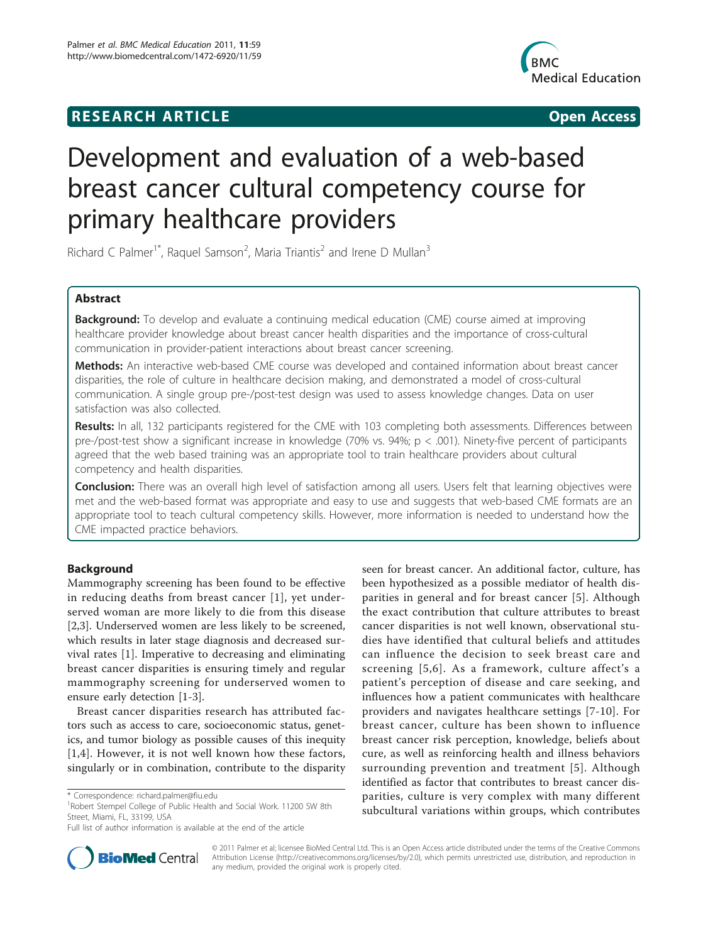## **RESEARCH ARTICLE Example 2018 12:00 Open Access**



# Development and evaluation of a web-based breast cancer cultural competency course for primary healthcare providers

Richard C Palmer<sup>1\*</sup>, Raquel Samson<sup>2</sup>, Maria Triantis<sup>2</sup> and Irene D Mullan<sup>3</sup>

## Abstract

**Background:** To develop and evaluate a continuing medical education (CME) course aimed at improving healthcare provider knowledge about breast cancer health disparities and the importance of cross-cultural communication in provider-patient interactions about breast cancer screening.

Methods: An interactive web-based CME course was developed and contained information about breast cancer disparities, the role of culture in healthcare decision making, and demonstrated a model of cross-cultural communication. A single group pre-/post-test design was used to assess knowledge changes. Data on user satisfaction was also collected.

Results: In all, 132 participants registered for the CME with 103 completing both assessments. Differences between pre-/post-test show a significant increase in knowledge (70% vs. 94%; p < .001). Ninety-five percent of participants agreed that the web based training was an appropriate tool to train healthcare providers about cultural competency and health disparities.

Conclusion: There was an overall high level of satisfaction among all users. Users felt that learning objectives were met and the web-based format was appropriate and easy to use and suggests that web-based CME formats are an appropriate tool to teach cultural competency skills. However, more information is needed to understand how the CME impacted practice behaviors.

## Background

Mammography screening has been found to be effective in reducing deaths from breast cancer [[1\]](#page-6-0), yet underserved woman are more likely to die from this disease [[2,3\]](#page-6-0). Underserved women are less likely to be screened, which results in later stage diagnosis and decreased survival rates [\[1](#page-6-0)]. Imperative to decreasing and eliminating breast cancer disparities is ensuring timely and regular mammography screening for underserved women to ensure early detection [\[1](#page-6-0)-[3\]](#page-6-0).

Breast cancer disparities research has attributed factors such as access to care, socioeconomic status, genetics, and tumor biology as possible causes of this inequity [[1,4](#page-6-0)]. However, it is not well known how these factors, singularly or in combination, contribute to the disparity

<sup>1</sup>Robert Stempel College of Public Health and Social Work. 11200 SW 8th Street, Miami, FL, 33199, USA

seen for breast cancer. An additional factor, culture, has been hypothesized as a possible mediator of health disparities in general and for breast cancer [\[5\]](#page-6-0). Although the exact contribution that culture attributes to breast cancer disparities is not well known, observational studies have identified that cultural beliefs and attitudes can influence the decision to seek breast care and screening [[5](#page-6-0),[6](#page-6-0)]. As a framework, culture affect's a patient's perception of disease and care seeking, and influences how a patient communicates with healthcare providers and navigates healthcare settings [[7](#page-6-0)-[10](#page-6-0)]. For breast cancer, culture has been shown to influence breast cancer risk perception, knowledge, beliefs about cure, as well as reinforcing health and illness behaviors surrounding prevention and treatment [[5](#page-6-0)]. Although identified as factor that contributes to breast cancer disparities, culture is very complex with many different subcultural variations within groups, which contributes



© 2011 Palmer et al; licensee BioMed Central Ltd. This is an Open Access article distributed under the terms of the Creative Commons Attribution License [\(http://creativecommons.org/licenses/by/2.0](http://creativecommons.org/licenses/by/2.0)), which permits unrestricted use, distribution, and reproduction in any medium, provided the original work is properly cited.

<sup>\*</sup> Correspondence: [richard.palmer@fiu.edu](mailto:richard.palmer@fiu.edu)

Full list of author information is available at the end of the article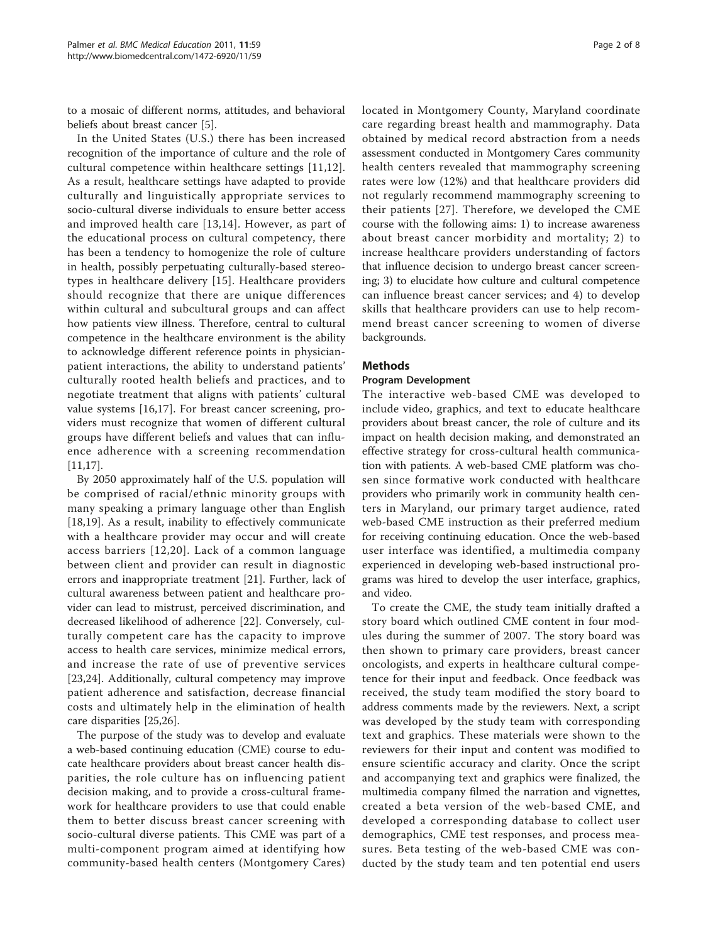to a mosaic of different norms, attitudes, and behavioral beliefs about breast cancer [\[5](#page-6-0)].

In the United States (U.S.) there has been increased recognition of the importance of culture and the role of cultural competence within healthcare settings [[11,12](#page-6-0)]. As a result, healthcare settings have adapted to provide culturally and linguistically appropriate services to socio-cultural diverse individuals to ensure better access and improved health care [[13](#page-6-0),[14\]](#page-6-0). However, as part of the educational process on cultural competency, there has been a tendency to homogenize the role of culture in health, possibly perpetuating culturally-based stereotypes in healthcare delivery [[15\]](#page-6-0). Healthcare providers should recognize that there are unique differences within cultural and subcultural groups and can affect how patients view illness. Therefore, central to cultural competence in the healthcare environment is the ability to acknowledge different reference points in physicianpatient interactions, the ability to understand patients' culturally rooted health beliefs and practices, and to negotiate treatment that aligns with patients' cultural value systems [\[16,17](#page-6-0)]. For breast cancer screening, providers must recognize that women of different cultural groups have different beliefs and values that can influence adherence with a screening recommendation [[11,17\]](#page-6-0).

By 2050 approximately half of the U.S. population will be comprised of racial/ethnic minority groups with many speaking a primary language other than English [[18,19\]](#page-6-0). As a result, inability to effectively communicate with a healthcare provider may occur and will create access barriers [[12,20\]](#page-6-0). Lack of a common language between client and provider can result in diagnostic errors and inappropriate treatment [\[21\]](#page-6-0). Further, lack of cultural awareness between patient and healthcare provider can lead to mistrust, perceived discrimination, and decreased likelihood of adherence [[22\]](#page-6-0). Conversely, culturally competent care has the capacity to improve access to health care services, minimize medical errors, and increase the rate of use of preventive services [[23,24](#page-7-0)]. Additionally, cultural competency may improve patient adherence and satisfaction, decrease financial costs and ultimately help in the elimination of health care disparities [\[25,26\]](#page-7-0).

The purpose of the study was to develop and evaluate a web-based continuing education (CME) course to educate healthcare providers about breast cancer health disparities, the role culture has on influencing patient decision making, and to provide a cross-cultural framework for healthcare providers to use that could enable them to better discuss breast cancer screening with socio-cultural diverse patients. This CME was part of a multi-component program aimed at identifying how community-based health centers (Montgomery Cares) located in Montgomery County, Maryland coordinate care regarding breast health and mammography. Data obtained by medical record abstraction from a needs assessment conducted in Montgomery Cares community health centers revealed that mammography screening rates were low (12%) and that healthcare providers did not regularly recommend mammography screening to their patients [[27\]](#page-7-0). Therefore, we developed the CME course with the following aims: 1) to increase awareness about breast cancer morbidity and mortality; 2) to increase healthcare providers understanding of factors that influence decision to undergo breast cancer screening; 3) to elucidate how culture and cultural competence can influence breast cancer services; and 4) to develop skills that healthcare providers can use to help recommend breast cancer screening to women of diverse backgrounds.

## Methods

#### Program Development

The interactive web-based CME was developed to include video, graphics, and text to educate healthcare providers about breast cancer, the role of culture and its impact on health decision making, and demonstrated an effective strategy for cross-cultural health communication with patients. A web-based CME platform was chosen since formative work conducted with healthcare providers who primarily work in community health centers in Maryland, our primary target audience, rated web-based CME instruction as their preferred medium for receiving continuing education. Once the web-based user interface was identified, a multimedia company experienced in developing web-based instructional programs was hired to develop the user interface, graphics, and video.

To create the CME, the study team initially drafted a story board which outlined CME content in four modules during the summer of 2007. The story board was then shown to primary care providers, breast cancer oncologists, and experts in healthcare cultural competence for their input and feedback. Once feedback was received, the study team modified the story board to address comments made by the reviewers. Next, a script was developed by the study team with corresponding text and graphics. These materials were shown to the reviewers for their input and content was modified to ensure scientific accuracy and clarity. Once the script and accompanying text and graphics were finalized, the multimedia company filmed the narration and vignettes, created a beta version of the web-based CME, and developed a corresponding database to collect user demographics, CME test responses, and process measures. Beta testing of the web-based CME was conducted by the study team and ten potential end users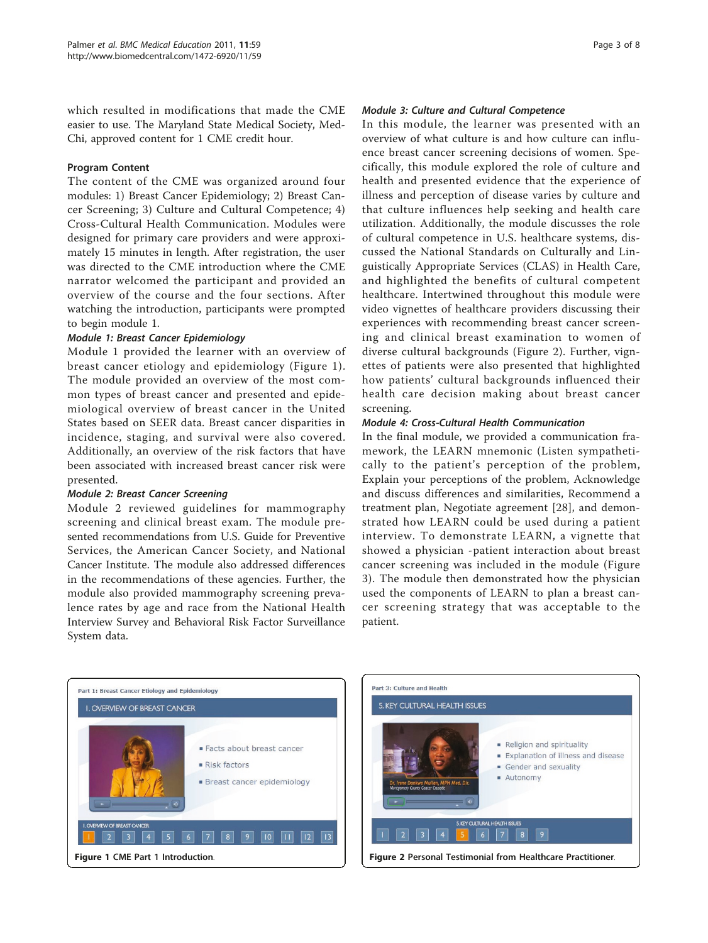which resulted in modifications that made the CME easier to use. The Maryland State Medical Society, Med-Chi, approved content for 1 CME credit hour.

## Program Content

The content of the CME was organized around four modules: 1) Breast Cancer Epidemiology; 2) Breast Cancer Screening; 3) Culture and Cultural Competence; 4) Cross-Cultural Health Communication. Modules were designed for primary care providers and were approximately 15 minutes in length. After registration, the user was directed to the CME introduction where the CME narrator welcomed the participant and provided an overview of the course and the four sections. After watching the introduction, participants were prompted to begin module 1.

## Module 1: Breast Cancer Epidemiology

Module 1 provided the learner with an overview of breast cancer etiology and epidemiology (Figure 1). The module provided an overview of the most common types of breast cancer and presented and epidemiological overview of breast cancer in the United States based on SEER data. Breast cancer disparities in incidence, staging, and survival were also covered. Additionally, an overview of the risk factors that have been associated with increased breast cancer risk were presented.

## Module 2: Breast Cancer Screening

Module 2 reviewed guidelines for mammography screening and clinical breast exam. The module presented recommendations from U.S. Guide for Preventive Services, the American Cancer Society, and National Cancer Institute. The module also addressed differences in the recommendations of these agencies. Further, the module also provided mammography screening prevalence rates by age and race from the National Health Interview Survey and Behavioral Risk Factor Surveillance System data.

#### Module 3: Culture and Cultural Competence

In this module, the learner was presented with an overview of what culture is and how culture can influence breast cancer screening decisions of women. Specifically, this module explored the role of culture and health and presented evidence that the experience of illness and perception of disease varies by culture and that culture influences help seeking and health care utilization. Additionally, the module discusses the role of cultural competence in U.S. healthcare systems, discussed the National Standards on Culturally and Linguistically Appropriate Services (CLAS) in Health Care, and highlighted the benefits of cultural competent healthcare. Intertwined throughout this module were video vignettes of healthcare providers discussing their experiences with recommending breast cancer screening and clinical breast examination to women of diverse cultural backgrounds (Figure 2). Further, vignettes of patients were also presented that highlighted how patients' cultural backgrounds influenced their health care decision making about breast cancer screening.

#### Module 4: Cross-Cultural Health Communication

In the final module, we provided a communication framework, the LEARN mnemonic (Listen sympathetically to the patient's perception of the problem, Explain your perceptions of the problem, Acknowledge and discuss differences and similarities, Recommend a treatment plan, Negotiate agreement [[28](#page-7-0)], and demonstrated how LEARN could be used during a patient interview. To demonstrate LEARN, a vignette that showed a physician -patient interaction about breast cancer screening was included in the module (Figure [3\)](#page-3-0). The module then demonstrated how the physician used the components of LEARN to plan a breast cancer screening strategy that was acceptable to the patient.



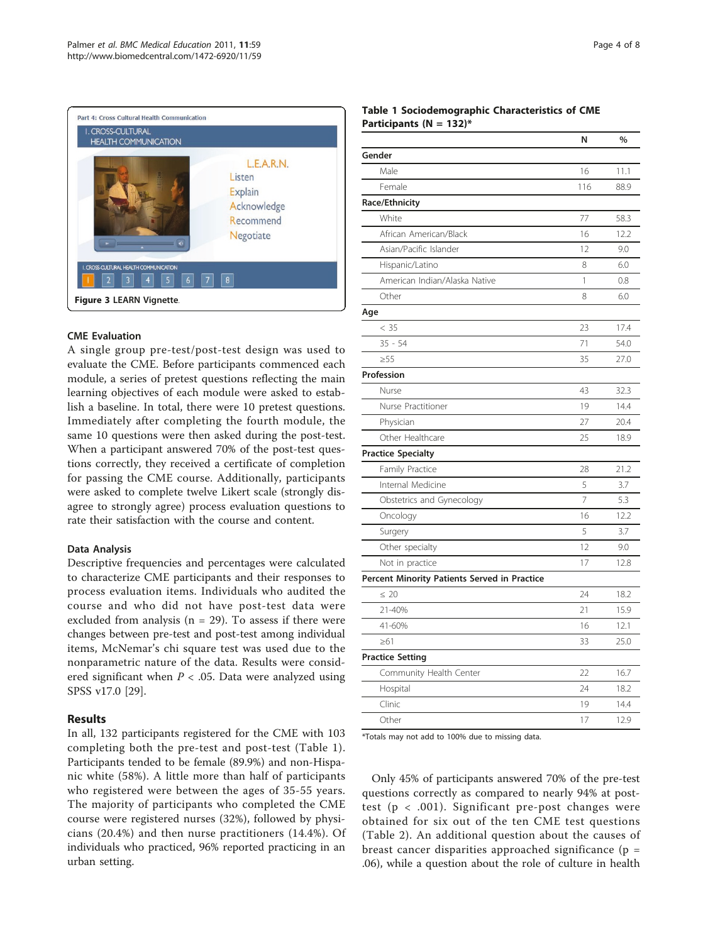<span id="page-3-0"></span>

## CME Evaluation

A single group pre-test/post-test design was used to evaluate the CME. Before participants commenced each module, a series of pretest questions reflecting the main learning objectives of each module were asked to establish a baseline. In total, there were 10 pretest questions. Immediately after completing the fourth module, the same 10 questions were then asked during the post-test. When a participant answered 70% of the post-test questions correctly, they received a certificate of completion for passing the CME course. Additionally, participants were asked to complete twelve Likert scale (strongly disagree to strongly agree) process evaluation questions to rate their satisfaction with the course and content.

#### Data Analysis

Descriptive frequencies and percentages were calculated to characterize CME participants and their responses to process evaluation items. Individuals who audited the course and who did not have post-test data were excluded from analysis ( $n = 29$ ). To assess if there were changes between pre-test and post-test among individual items, McNemar's chi square test was used due to the nonparametric nature of the data. Results were considered significant when  $P < .05$ . Data were analyzed using SPSS v17.0 [\[29\]](#page-7-0).

## Results

In all, 132 participants registered for the CME with 103 completing both the pre-test and post-test (Table 1). Participants tended to be female (89.9%) and non-Hispanic white (58%). A little more than half of participants who registered were between the ages of 35-55 years. The majority of participants who completed the CME course were registered nurses (32%), followed by physicians (20.4%) and then nurse practitioners (14.4%). Of individuals who practiced, 96% reported practicing in an urban setting.

## Table 1 Sociodemographic Characteristics of CME Particinants  $(N - 132)*$

| .                                            |     |      |
|----------------------------------------------|-----|------|
|                                              | N   | %    |
| Gender                                       |     |      |
| Male                                         | 16  | 11.1 |
| Female                                       | 116 | 88.9 |
| Race/Ethnicity                               |     |      |
| White                                        | 77  | 58.3 |
| African American/Black                       | 16  | 12.2 |
| Asian/Pacific Islander                       | 12  | 9.0  |
| Hispanic/Latino                              | 8   | 6.0  |
| American Indian/Alaska Native                | 1   | 0.8  |
| Other                                        | 8   | 6.0  |
| Age                                          |     |      |
| $<$ 35                                       | 23  | 17.4 |
| $35 - 54$                                    | 71  | 54.0 |
| >55                                          | 35  | 27.0 |
| Profession                                   |     |      |
| Nurse                                        | 43  | 32.3 |
| Nurse Practitioner                           | 19  | 14.4 |
| Physician                                    | 27  | 20.4 |
| Other Healthcare                             | 25  | 18.9 |
| <b>Practice Specialty</b>                    |     |      |
| Family Practice                              | 28  | 21.2 |
| Internal Medicine                            | 5   | 3.7  |
| Obstetrics and Gynecology                    | 7   | 5.3  |
| Oncology                                     | 16  | 12.2 |
| Surgery                                      | 5   | 3.7  |
| Other specialty                              | 12  | 9.0  |
| Not in practice                              | 17  | 12.8 |
| Percent Minority Patients Served in Practice |     |      |
| $\leq 20$                                    | 24  | 18.2 |
| 21-40%                                       | 21  | 15.9 |
| 41-60%                                       | 16  | 12.1 |
| $\geq 61$                                    | 33  | 25.0 |
| <b>Practice Setting</b>                      |     |      |
| Community Health Center                      | 22  | 16.7 |
| Hospital                                     | 24  | 18.2 |
| Clinic                                       | 19  | 14.4 |
| Other                                        | 17  | 12.9 |

\*Totals may not add to 100% due to missing data.

Only 45% of participants answered 70% of the pre-test questions correctly as compared to nearly 94% at posttest ( $p < .001$ ). Significant pre-post changes were obtained for six out of the ten CME test questions (Table [2](#page-4-0)). An additional question about the causes of breast cancer disparities approached significance ( $p =$ .06), while a question about the role of culture in health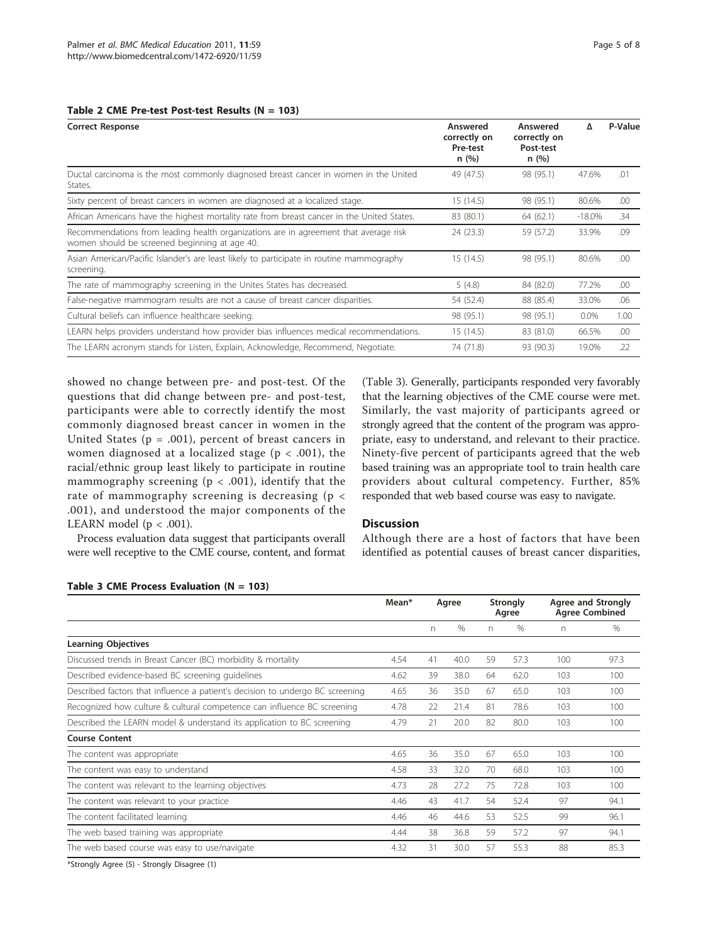#### <span id="page-4-0"></span>Table 2 CME Pre-test Post-test Results ( $N = 103$ )

| <b>Correct Response</b>                                                                                                               | Answered<br>correctly on<br>Pre-test<br>n(%) | Answered<br>correctly on<br>Post-test<br>n(%) | Δ         | P-Value |
|---------------------------------------------------------------------------------------------------------------------------------------|----------------------------------------------|-----------------------------------------------|-----------|---------|
| Ductal carcinoma is the most commonly diagnosed breast cancer in women in the United<br>States.                                       | 49 (47.5)                                    | 98 (95.1)                                     | 47.6%     | .01     |
| Sixty percent of breast cancers in women are diagnosed at a localized stage.                                                          | 15 (14.5)                                    | 98 (95.1)                                     | 80.6%     | .00     |
| African Americans have the highest mortality rate from breast cancer in the United States.                                            | 83 (80.1)                                    | 64 (62.1)                                     | $-18.0\%$ | .34     |
| Recommendations from leading health organizations are in agreement that average risk<br>women should be screened beginning at age 40. | 24 (23.3)                                    | 59 (57.2)                                     | 33.9%     | .09     |
| Asian American/Pacific Islander's are least likely to participate in routine mammography<br>screening.                                | 15 (14.5)                                    | 98 (95.1)                                     | 80.6%     | .00     |
| The rate of mammography screening in the Unites States has decreased.                                                                 | 5(4.8)                                       | 84 (82.0)                                     | 77.2%     | .00     |
| False-negative mammogram results are not a cause of breast cancer disparities.                                                        | 54 (52.4)                                    | 88 (85.4)                                     | 33.0%     | .06     |
| Cultural beliefs can influence healthcare seeking.                                                                                    | 98 (95.1)                                    | 98 (95.1)                                     | $0.0\%$   | 1.00    |
| LEARN helps providers understand how provider bias influences medical recommendations.                                                | 15(14.5)                                     | 83 (81.0)                                     | 66.5%     | .00     |
| The LEARN acronym stands for Listen, Explain, Acknowledge, Recommend, Negotiate.                                                      | 74 (71.8)                                    | 93 (90.3)                                     | 19.0%     | .22     |

showed no change between pre- and post-test. Of the questions that did change between pre- and post-test, participants were able to correctly identify the most commonly diagnosed breast cancer in women in the United States ( $p = .001$ ), percent of breast cancers in women diagnosed at a localized stage ( $p < .001$ ), the racial/ethnic group least likely to participate in routine mammography screening ( $p < .001$ ), identify that the rate of mammography screening is decreasing (p < .001), and understood the major components of the LEARN model ( $p < .001$ ).

strongly agreed that the content of the program was appropriate, easy to understand, and relevant to their practice. Ninety-five percent of participants agreed that the web based training was an appropriate tool to train health care providers about cultural competency. Further, 85% responded that web based course was easy to navigate.

Process evaluation data suggest that participants overall were well receptive to the CME course, content, and format

## **Discussion**

Although there are a host of factors that have been identified as potential causes of breast cancer disparities,

(Table 3). Generally, participants responded very favorably that the learning objectives of the CME course were met. Similarly, the vast majority of participants agreed or

|                                                                               | Mean* | Agree |      | Strongly<br>Agree |      | Agree and Strongly<br><b>Agree Combined</b> |      |
|-------------------------------------------------------------------------------|-------|-------|------|-------------------|------|---------------------------------------------|------|
|                                                                               |       | n     | $\%$ | n                 | %    | n                                           | %    |
| <b>Learning Objectives</b>                                                    |       |       |      |                   |      |                                             |      |
| Discussed trends in Breast Cancer (BC) morbidity & mortality                  | 4.54  | 41    | 40.0 | 59                | 57.3 | 100                                         | 97.3 |
| Described evidence-based BC screening quidelines                              | 4.62  | 39    | 38.0 | 64                | 62.0 | 103                                         | 100  |
| Described factors that influence a patient's decision to undergo BC screening | 4.65  | 36    | 35.0 | 67                | 65.0 | 103                                         | 100  |
| Recognized how culture & cultural competence can influence BC screening       | 4.78  | 22    | 21.4 | 81                | 78.6 | 103                                         | 100  |
| Described the LEARN model & understand its application to BC screening        | 4.79  | 21    | 20.0 | -82               | 80.0 | 103                                         | 100  |
| <b>Course Content</b>                                                         |       |       |      |                   |      |                                             |      |
| The content was appropriate                                                   | 4.65  | 36    | 35.0 | 67                | 65.0 | 103                                         | 100  |
| The content was easy to understand                                            | 4.58  | 33    | 32.0 | 70                | 68.0 | 103                                         | 100  |
| The content was relevant to the learning objectives                           | 4.73  | 28    | 27.2 | 75                | 72.8 | 103                                         | 100  |
| The content was relevant to your practice                                     | 4.46  | 43    | 41.7 | 54                | 52.4 | 97                                          | 94.1 |
| The content facilitated learning                                              | 4.46  | 46    | 44.6 | 53                | 52.5 | 99                                          | 96.1 |
| The web based training was appropriate                                        | 4.44  | 38    | 36.8 | 59                | 57.2 | 97                                          | 94.1 |
| The web based course was easy to use/navigate                                 | 4.32  | 31    | 30.0 | 57                | 55.3 | 88                                          | 85.3 |

Table 3 CME Process Evaluation ( $N = 103$ )

\*Strongly Agree (5) - Strongly Disagree (1)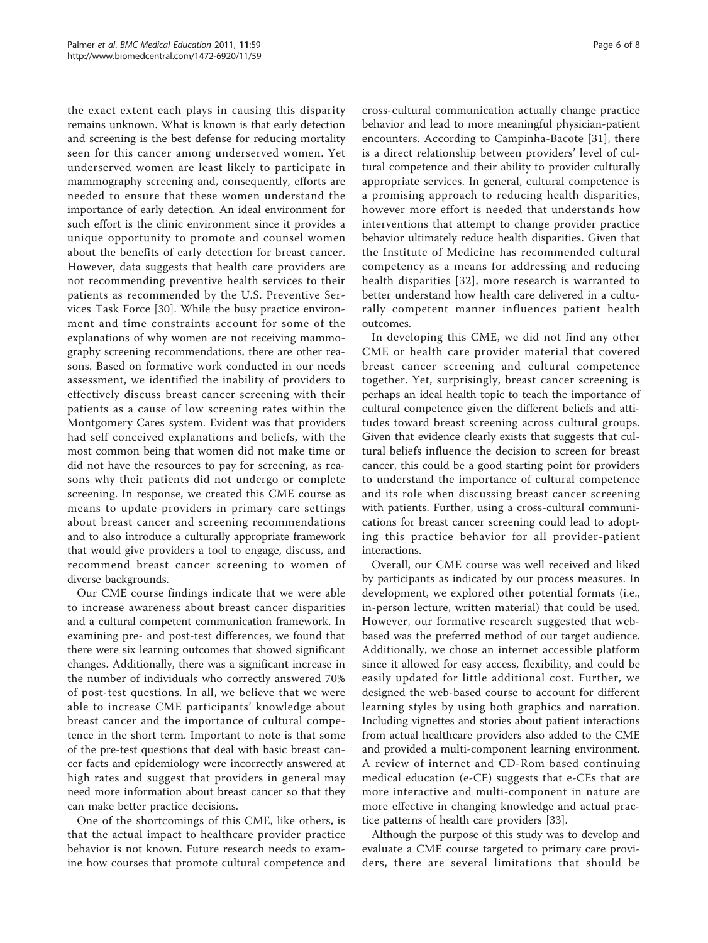the exact extent each plays in causing this disparity remains unknown. What is known is that early detection and screening is the best defense for reducing mortality seen for this cancer among underserved women. Yet underserved women are least likely to participate in mammography screening and, consequently, efforts are needed to ensure that these women understand the importance of early detection. An ideal environment for such effort is the clinic environment since it provides a unique opportunity to promote and counsel women about the benefits of early detection for breast cancer. However, data suggests that health care providers are not recommending preventive health services to their patients as recommended by the U.S. Preventive Services Task Force [[30](#page-7-0)]. While the busy practice environment and time constraints account for some of the explanations of why women are not receiving mammography screening recommendations, there are other reasons. Based on formative work conducted in our needs assessment, we identified the inability of providers to effectively discuss breast cancer screening with their patients as a cause of low screening rates within the Montgomery Cares system. Evident was that providers had self conceived explanations and beliefs, with the most common being that women did not make time or did not have the resources to pay for screening, as reasons why their patients did not undergo or complete screening. In response, we created this CME course as means to update providers in primary care settings about breast cancer and screening recommendations and to also introduce a culturally appropriate framework that would give providers a tool to engage, discuss, and recommend breast cancer screening to women of diverse backgrounds.

Our CME course findings indicate that we were able to increase awareness about breast cancer disparities and a cultural competent communication framework. In examining pre- and post-test differences, we found that there were six learning outcomes that showed significant changes. Additionally, there was a significant increase in the number of individuals who correctly answered 70% of post-test questions. In all, we believe that we were able to increase CME participants' knowledge about breast cancer and the importance of cultural competence in the short term. Important to note is that some of the pre-test questions that deal with basic breast cancer facts and epidemiology were incorrectly answered at high rates and suggest that providers in general may need more information about breast cancer so that they can make better practice decisions.

One of the shortcomings of this CME, like others, is that the actual impact to healthcare provider practice behavior is not known. Future research needs to examine how courses that promote cultural competence and

cross-cultural communication actually change practice behavior and lead to more meaningful physician-patient encounters. According to Campinha-Bacote [[31](#page-7-0)], there is a direct relationship between providers' level of cultural competence and their ability to provider culturally appropriate services. In general, cultural competence is a promising approach to reducing health disparities, however more effort is needed that understands how interventions that attempt to change provider practice behavior ultimately reduce health disparities. Given that the Institute of Medicine has recommended cultural competency as a means for addressing and reducing health disparities [[32\]](#page-7-0), more research is warranted to better understand how health care delivered in a culturally competent manner influences patient health outcomes.

In developing this CME, we did not find any other CME or health care provider material that covered breast cancer screening and cultural competence together. Yet, surprisingly, breast cancer screening is perhaps an ideal health topic to teach the importance of cultural competence given the different beliefs and attitudes toward breast screening across cultural groups. Given that evidence clearly exists that suggests that cultural beliefs influence the decision to screen for breast cancer, this could be a good starting point for providers to understand the importance of cultural competence and its role when discussing breast cancer screening with patients. Further, using a cross-cultural communications for breast cancer screening could lead to adopting this practice behavior for all provider-patient interactions.

Overall, our CME course was well received and liked by participants as indicated by our process measures. In development, we explored other potential formats (i.e., in-person lecture, written material) that could be used. However, our formative research suggested that webbased was the preferred method of our target audience. Additionally, we chose an internet accessible platform since it allowed for easy access, flexibility, and could be easily updated for little additional cost. Further, we designed the web-based course to account for different learning styles by using both graphics and narration. Including vignettes and stories about patient interactions from actual healthcare providers also added to the CME and provided a multi-component learning environment. A review of internet and CD-Rom based continuing medical education (e-CE) suggests that e-CEs that are more interactive and multi-component in nature are more effective in changing knowledge and actual practice patterns of health care providers [[33](#page-7-0)].

Although the purpose of this study was to develop and evaluate a CME course targeted to primary care providers, there are several limitations that should be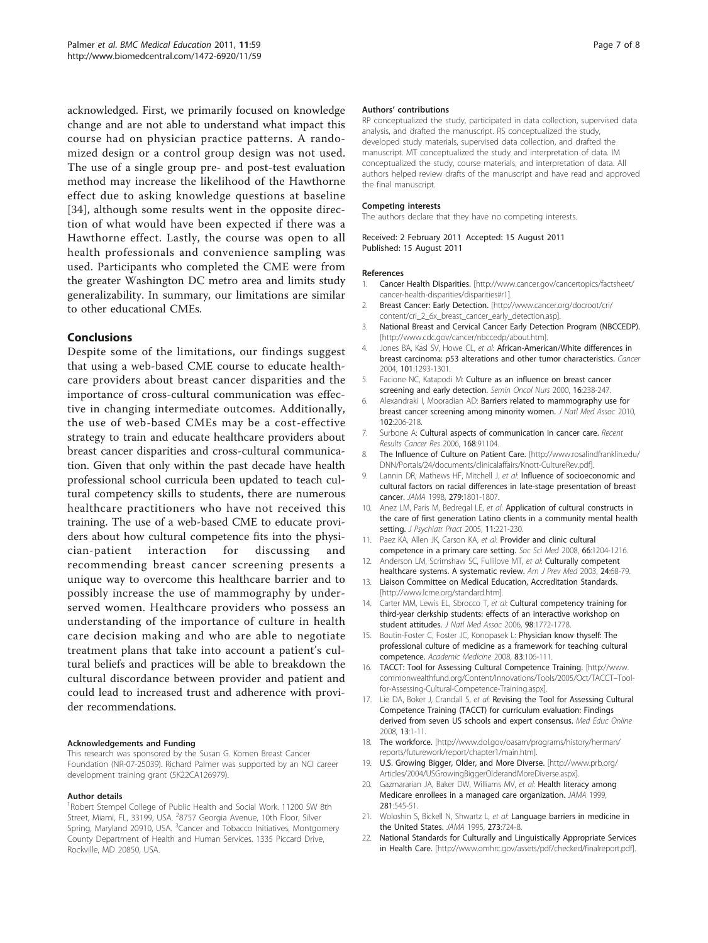<span id="page-6-0"></span>acknowledged. First, we primarily focused on knowledge change and are not able to understand what impact this course had on physician practice patterns. A randomized design or a control group design was not used. The use of a single group pre- and post-test evaluation method may increase the likelihood of the Hawthorne effect due to asking knowledge questions at baseline [[34](#page-7-0)], although some results went in the opposite direction of what would have been expected if there was a Hawthorne effect. Lastly, the course was open to all health professionals and convenience sampling was used. Participants who completed the CME were from the greater Washington DC metro area and limits study generalizability. In summary, our limitations are similar to other educational CMEs.

## Conclusions

Despite some of the limitations, our findings suggest that using a web-based CME course to educate healthcare providers about breast cancer disparities and the importance of cross-cultural communication was effective in changing intermediate outcomes. Additionally, the use of web-based CMEs may be a cost-effective strategy to train and educate healthcare providers about breast cancer disparities and cross-cultural communication. Given that only within the past decade have health professional school curricula been updated to teach cultural competency skills to students, there are numerous healthcare practitioners who have not received this training. The use of a web-based CME to educate providers about how cultural competence fits into the physician-patient interaction for discussing and recommending breast cancer screening presents a unique way to overcome this healthcare barrier and to possibly increase the use of mammography by underserved women. Healthcare providers who possess an understanding of the importance of culture in health care decision making and who are able to negotiate treatment plans that take into account a patient's cultural beliefs and practices will be able to breakdown the cultural discordance between provider and patient and could lead to increased trust and adherence with provider recommendations.

#### Acknowledgements and Funding

This research was sponsored by the Susan G. Komen Breast Cancer Foundation (NR-07-25039). Richard Palmer was supported by an NCI career development training grant (5K22CA126979).

#### Author details

<sup>1</sup>Robert Stempel College of Public Health and Social Work. 11200 SW 8th Street, Miami, FL, 33199, USA. <sup>2</sup>8757 Georgia Avenue, 10th Floor, Silver Spring, Maryland 20910, USA. <sup>3</sup>Cancer and Tobacco Initiatives, Montgomery County Department of Health and Human Services. 1335 Piccard Drive, Rockville, MD 20850, USA.

#### Authors' contributions

RP conceptualized the study, participated in data collection, supervised data analysis, and drafted the manuscript. RS conceptualized the study, developed study materials, supervised data collection, and drafted the manuscript. MT conceptualized the study and interpretation of data. IM conceptualized the study, course materials, and interpretation of data. All authors helped review drafts of the manuscript and have read and approved the final manuscript.

#### Competing interests

The authors declare that they have no competing interests.

Received: 2 February 2011 Accepted: 15 August 2011 Published: 15 August 2011

#### References

- 1. Cancer Health Disparities. [\[http://www.cancer.gov/cancertopics/factsheet/](http://www.cancer.gov/cancertopics/factsheet/cancer-health-disparities/disparities#r1) [cancer-health-disparities/disparities#r1](http://www.cancer.gov/cancertopics/factsheet/cancer-health-disparities/disparities#r1)].
- 2. Breast Cancer: Early Detection. [\[http://www.cancer.org/docroot/cri/](http://www.cancer.org/docroot/cri/content/cri_2_6x_breast_cancer_early_detection.asp) [content/cri\\_2\\_6x\\_breast\\_cancer\\_early\\_detection.asp\]](http://www.cancer.org/docroot/cri/content/cri_2_6x_breast_cancer_early_detection.asp).
- 3. National Breast and Cervical Cancer Early Detection Program (NBCCEDP). [<http://www.cdc.gov/cancer/nbccedp/about.htm>].
- 4. Jones BA, Kasl SV, Howe CL, et al: [African-American/White differences in](http://www.ncbi.nlm.nih.gov/pubmed/15368321?dopt=Abstract) [breast carcinoma: p53 alterations and other tumor characteristics.](http://www.ncbi.nlm.nih.gov/pubmed/15368321?dopt=Abstract) Cancer 2004, 101:1293-1301.
- 5. Facione NC, Katapodi M: [Culture as an influence on breast cancer](http://www.ncbi.nlm.nih.gov/pubmed/10967796?dopt=Abstract) [screening and early detection.](http://www.ncbi.nlm.nih.gov/pubmed/10967796?dopt=Abstract) Semin Oncol Nurs 2000, 16:238-247.
- 6. Alexandraki I, Mooradian AD: [Barriers related to mammography use for](http://www.ncbi.nlm.nih.gov/pubmed/20355350?dopt=Abstract) [breast cancer screening among minority women.](http://www.ncbi.nlm.nih.gov/pubmed/20355350?dopt=Abstract) J Natl Med Assoc 2010, 102:206-218.
- 7. Surbone A: Cultural aspects of communication in cancer care. Recent Results Cancer Res 2006, 168:91104.
- 8. The Influence of Culture on Patient Care. [[http://www.rosalindfranklin.edu/](http://www.rosalindfranklin.edu/DNN/Portals/24/documents/clinicalaffairs/Knott-CultureRev.pdf) [DNN/Portals/24/documents/clinicalaffairs/Knott-CultureRev.pdf\]](http://www.rosalindfranklin.edu/DNN/Portals/24/documents/clinicalaffairs/Knott-CultureRev.pdf).
- 9. Lannin DR, Mathews HF, Mitchell J, et al: [Influence of socioeconomic and](http://www.ncbi.nlm.nih.gov/pubmed/9628711?dopt=Abstract) [cultural factors on racial differences in late-stage presentation of breast](http://www.ncbi.nlm.nih.gov/pubmed/9628711?dopt=Abstract) [cancer.](http://www.ncbi.nlm.nih.gov/pubmed/9628711?dopt=Abstract) JAMA 1998, 279:1801-1807.
- 10. Anez LM, Paris M, Bedregal LE, et al: [Application of cultural constructs in](http://www.ncbi.nlm.nih.gov/pubmed/16041232?dopt=Abstract) [the care of first generation Latino clients in a community mental health](http://www.ncbi.nlm.nih.gov/pubmed/16041232?dopt=Abstract) [setting.](http://www.ncbi.nlm.nih.gov/pubmed/16041232?dopt=Abstract) J Psychiatr Pract 2005, 11:221-230.
- 11. Paez KA, Allen JK, Carson KA, et al: [Provider and clinic cultural](http://www.ncbi.nlm.nih.gov/pubmed/18164114?dopt=Abstract) [competence in a primary care setting.](http://www.ncbi.nlm.nih.gov/pubmed/18164114?dopt=Abstract) Soc Sci Med 2008, 66:1204-1216.
- 12. Anderson LM, Scrimshaw SC, Fullilove MT, et al: [Culturally competent](http://www.ncbi.nlm.nih.gov/pubmed/12668199?dopt=Abstract) [healthcare systems. A systematic review.](http://www.ncbi.nlm.nih.gov/pubmed/12668199?dopt=Abstract) Am J Prev Med 2003, 24:68-79.
- 13. Liaison Committee on Medical Education, Accreditation Standards. [<http://www.lcme.org/standard.htm>].
- 14. Carter MM, Lewis EL, Sbrocco T, et al: [Cultural competency training for](http://www.ncbi.nlm.nih.gov/pubmed/17128686?dopt=Abstract) [third-year clerkship students: effects of an interactive workshop on](http://www.ncbi.nlm.nih.gov/pubmed/17128686?dopt=Abstract) [student attitudes.](http://www.ncbi.nlm.nih.gov/pubmed/17128686?dopt=Abstract) J Natl Med Assoc 2006, 98:1772-1778.
- 15. Boutin-Foster C, Foster JC, Konopasek L: [Physician know thyself: The](http://www.ncbi.nlm.nih.gov/pubmed/18162762?dopt=Abstract) [professional culture of medicine as a framework for teaching cultural](http://www.ncbi.nlm.nih.gov/pubmed/18162762?dopt=Abstract) [competence.](http://www.ncbi.nlm.nih.gov/pubmed/18162762?dopt=Abstract) Academic Medicine 2008, 83:106-111.
- 16. TACCT: Tool for Assessing Cultural Competence Training. [[http://www.](http://www.commonwealthfund.org/Content/Innovations/Tools/2005/Oct/TACCT--Tool-for-Assessing-Cultural-Competence-Training.aspx) [commonwealthfund.org/Content/Innovations/Tools/2005/Oct/TACCT](http://www.commonwealthfund.org/Content/Innovations/Tools/2005/Oct/TACCT--Tool-for-Assessing-Cultural-Competence-Training.aspx)–Tool[for-Assessing-Cultural-Competence-Training.aspx\]](http://www.commonwealthfund.org/Content/Innovations/Tools/2005/Oct/TACCT--Tool-for-Assessing-Cultural-Competence-Training.aspx).
- 17. Lie DA, Boker J, Crandall S, et al: [Revising the Tool for Assessing Cultural](http://www.ncbi.nlm.nih.gov/pubmed/20165532?dopt=Abstract) [Competence Training \(TACCT\) for curriculum evaluation: Findings](http://www.ncbi.nlm.nih.gov/pubmed/20165532?dopt=Abstract) [derived from seven US schools and expert consensus.](http://www.ncbi.nlm.nih.gov/pubmed/20165532?dopt=Abstract) Med Educ Online 2008, 13:1-11.
- 18. The workforce. [\[http://www.dol.gov/oasam/programs/history/herman/](http://www.dol.gov/oasam/programs/history/herman/reports/futurework/report/chapter1/main.htm) [reports/futurework/report/chapter1/main.htm](http://www.dol.gov/oasam/programs/history/herman/reports/futurework/report/chapter1/main.htm)].
- 19. U.S. Growing Bigger, Older, and More Diverse. [[http://www.prb.org/](http://www.prb.org/Articles/2004/USGrowingBiggerOlderandMoreDiverse.aspx) [Articles/2004/USGrowingBiggerOlderandMoreDiverse.aspx](http://www.prb.org/Articles/2004/USGrowingBiggerOlderandMoreDiverse.aspx)].
- 20. Gazmararian JA, Baker DW, Williams MV, et al: [Health literacy among](http://www.ncbi.nlm.nih.gov/pubmed/10022111?dopt=Abstract) [Medicare enrollees in a managed care organization.](http://www.ncbi.nlm.nih.gov/pubmed/10022111?dopt=Abstract) JAMA 1999, 281:545-51.
- 21. Woloshin S, Bickell N, Shwartz L, et al: [Language barriers in medicine in](http://www.ncbi.nlm.nih.gov/pubmed/7853631?dopt=Abstract) [the United States.](http://www.ncbi.nlm.nih.gov/pubmed/7853631?dopt=Abstract) JAMA 1995, 273:724-8.
- 22. National Standards for Culturally and Linguistically Appropriate Services in Health Care. [\[http://www.omhrc.gov/assets/pdf/checked/finalreport.pdf](http://www.omhrc.gov/assets/pdf/checked/finalreport.pdf)].